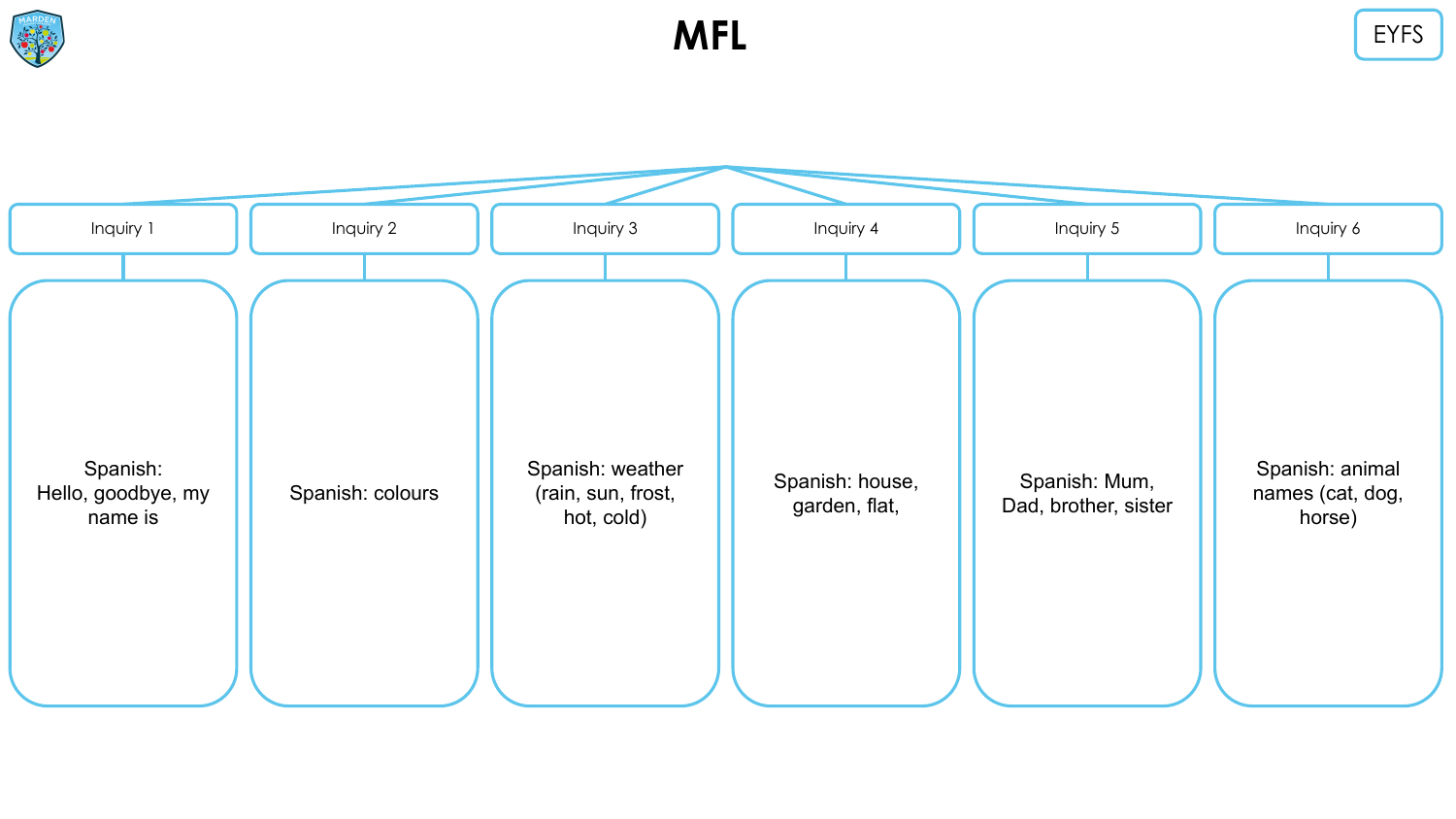



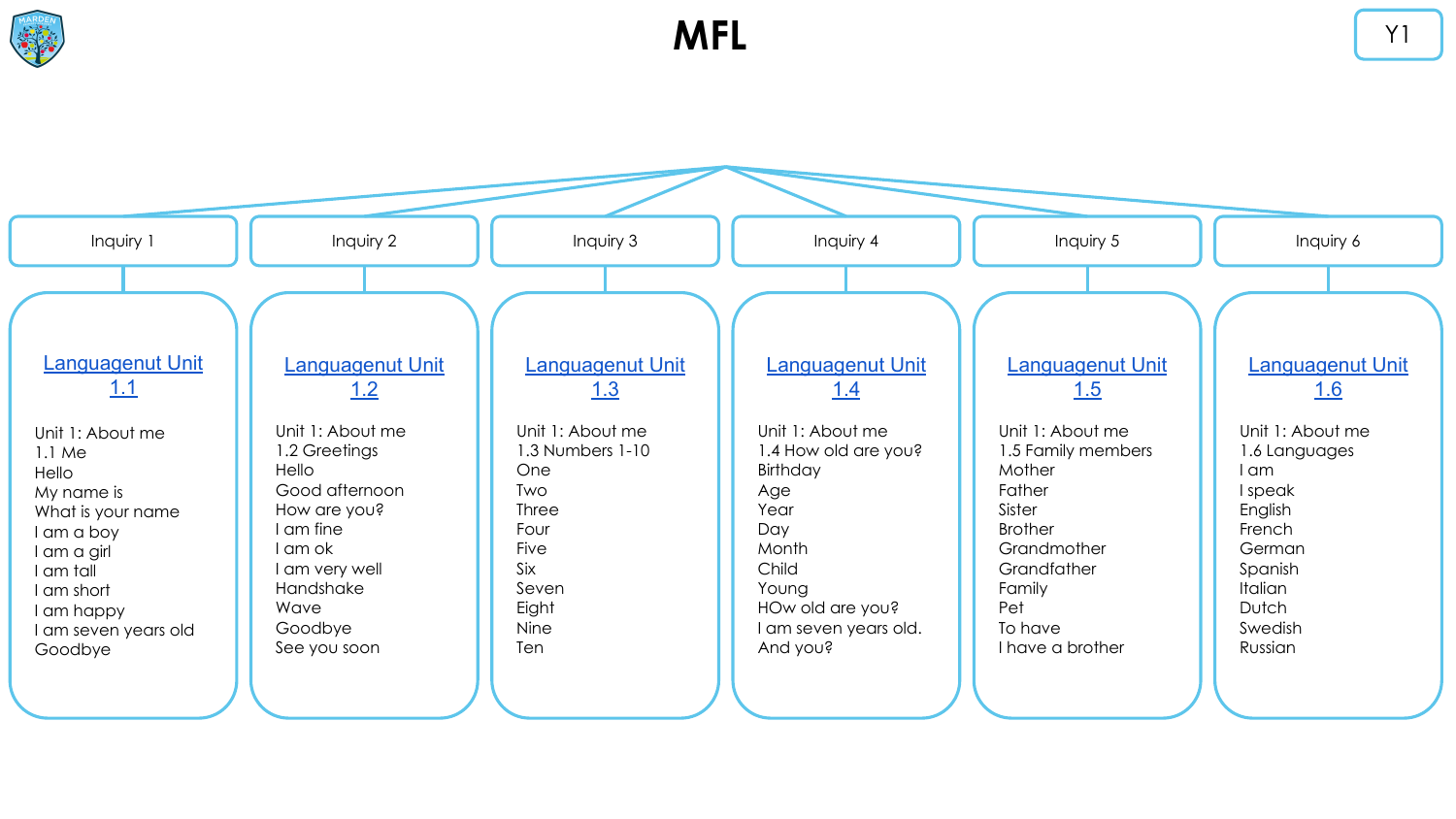



**MFL**  $\begin{array}{ccc} \uparrow & \uparrow & \downarrow & \downarrow \end{array}$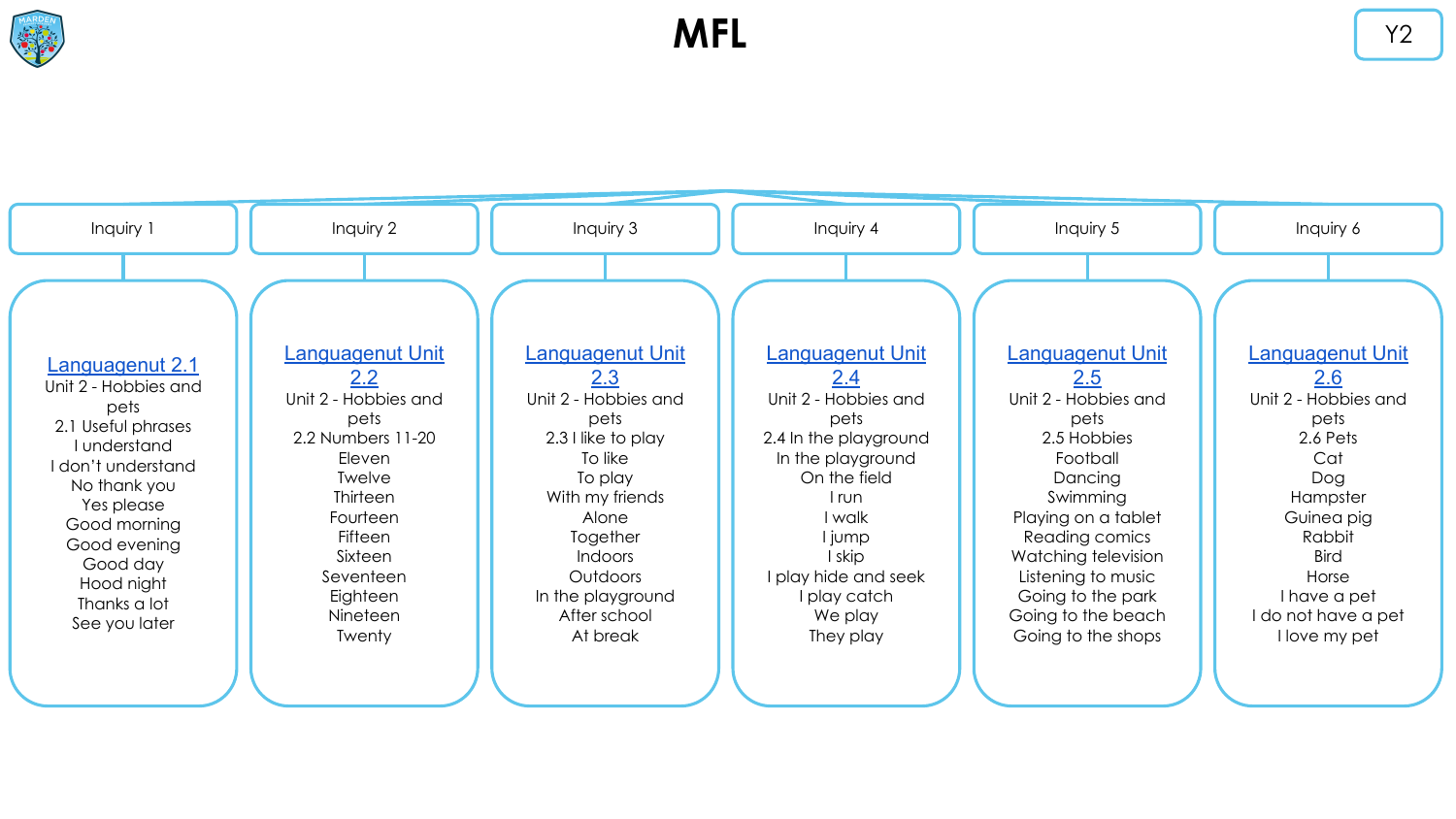![](_page_2_Picture_0.jpeg)

![](_page_2_Figure_2.jpeg)

![](_page_2_Figure_3.jpeg)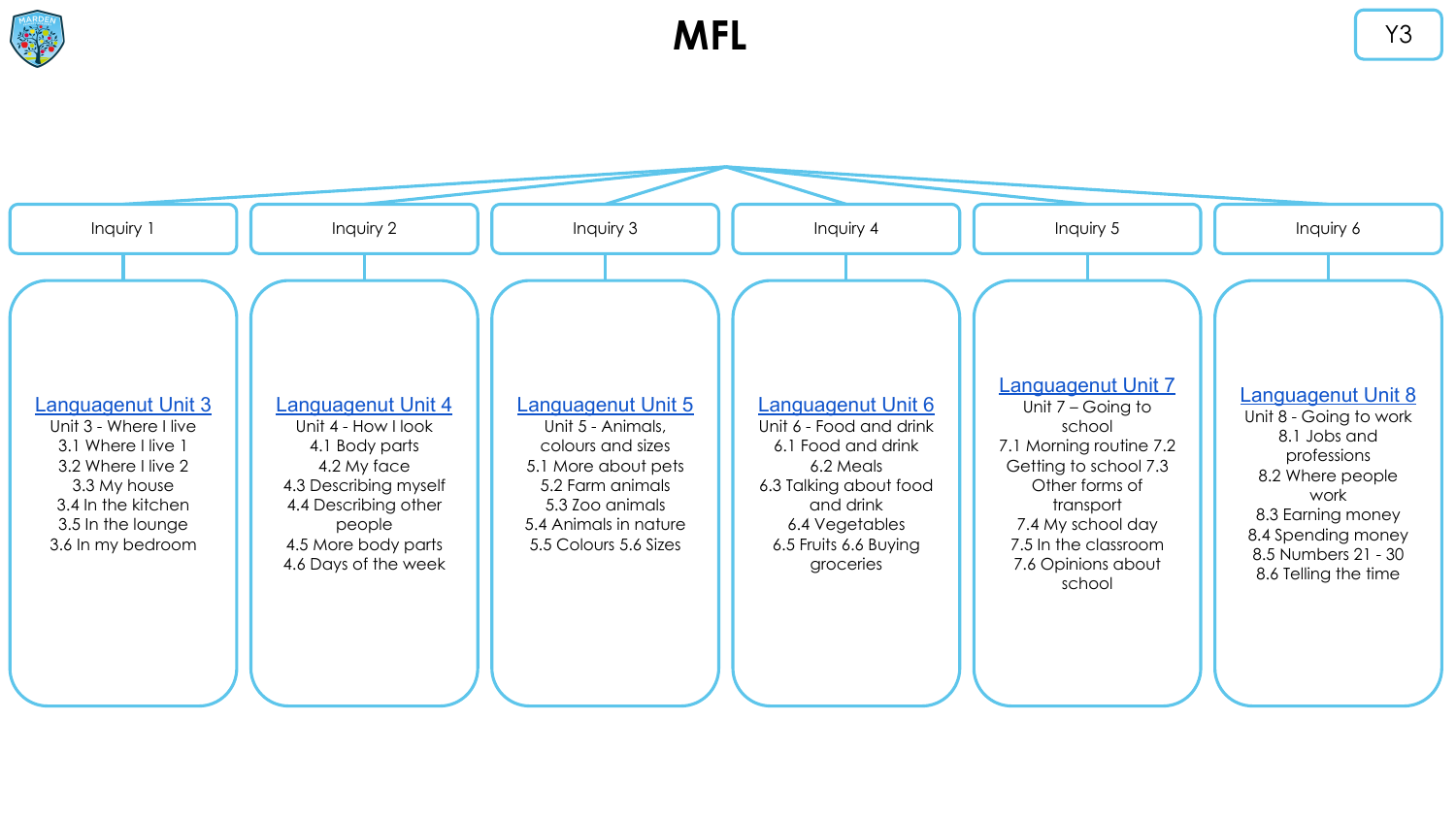![](_page_3_Figure_1.jpeg)

**MFL** Y3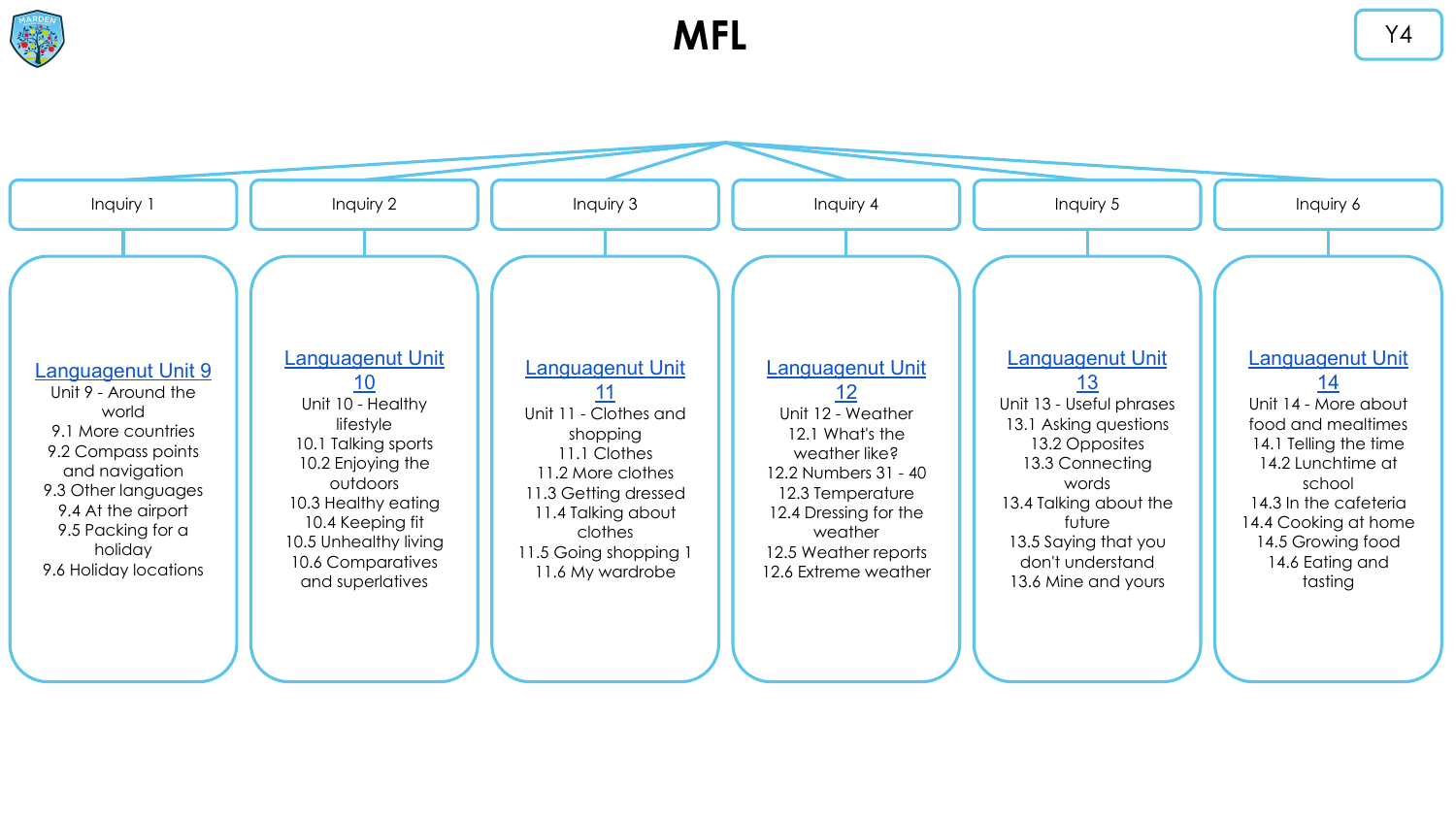![](_page_4_Picture_0.jpeg)

![](_page_4_Figure_2.jpeg)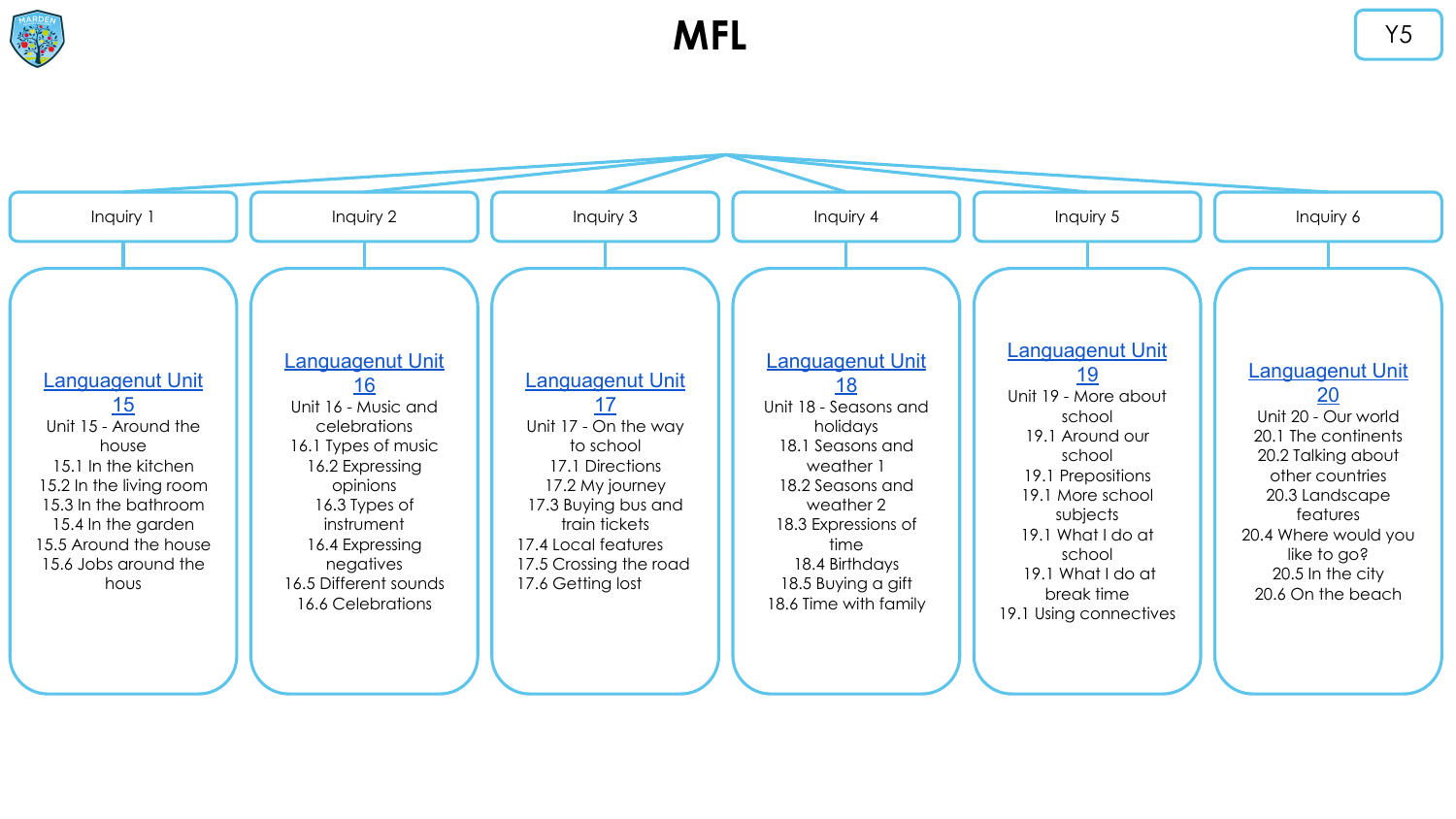![](_page_5_Figure_1.jpeg)

**MFL** Y5